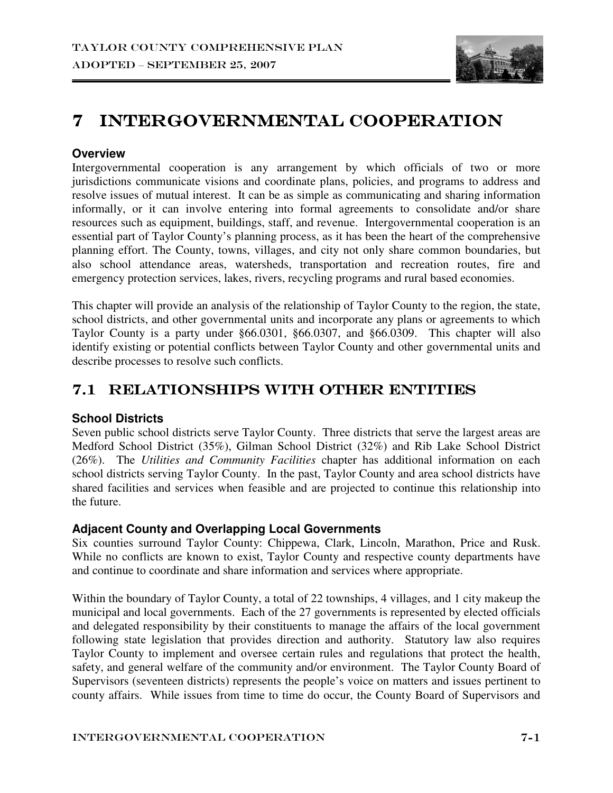

# 7 INTERGOVERNMENTAL COOPERATION

#### **Overview**

Intergovernmental cooperation is any arrangement by which officials of two or more jurisdictions communicate visions and coordinate plans, policies, and programs to address and resolve issues of mutual interest. It can be as simple as communicating and sharing information informally, or it can involve entering into formal agreements to consolidate and/or share resources such as equipment, buildings, staff, and revenue. Intergovernmental cooperation is an essential part of Taylor County's planning process, as it has been the heart of the comprehensive planning effort. The County, towns, villages, and city not only share common boundaries, but also school attendance areas, watersheds, transportation and recreation routes, fire and emergency protection services, lakes, rivers, recycling programs and rural based economies.

This chapter will provide an analysis of the relationship of Taylor County to the region, the state, school districts, and other governmental units and incorporate any plans or agreements to which Taylor County is a party under §66.0301, §66.0307, and §66.0309. This chapter will also identify existing or potential conflicts between Taylor County and other governmental units and describe processes to resolve such conflicts.

### 7.1 RELATIONSHIPS WITH OTHER ENTITIES

### **School Districts**

Seven public school districts serve Taylor County. Three districts that serve the largest areas are Medford School District (35%), Gilman School District (32%) and Rib Lake School District (26%). The *Utilities and Community Facilities* chapter has additional information on each school districts serving Taylor County. In the past, Taylor County and area school districts have shared facilities and services when feasible and are projected to continue this relationship into the future.

### **Adjacent County and Overlapping Local Governments**

Six counties surround Taylor County: Chippewa, Clark, Lincoln, Marathon, Price and Rusk. While no conflicts are known to exist, Taylor County and respective county departments have and continue to coordinate and share information and services where appropriate.

Within the boundary of Taylor County, a total of 22 townships, 4 villages, and 1 city makeup the municipal and local governments. Each of the 27 governments is represented by elected officials and delegated responsibility by their constituents to manage the affairs of the local government following state legislation that provides direction and authority. Statutory law also requires Taylor County to implement and oversee certain rules and regulations that protect the health, safety, and general welfare of the community and/or environment. The Taylor County Board of Supervisors (seventeen districts) represents the people's voice on matters and issues pertinent to county affairs. While issues from time to time do occur, the County Board of Supervisors and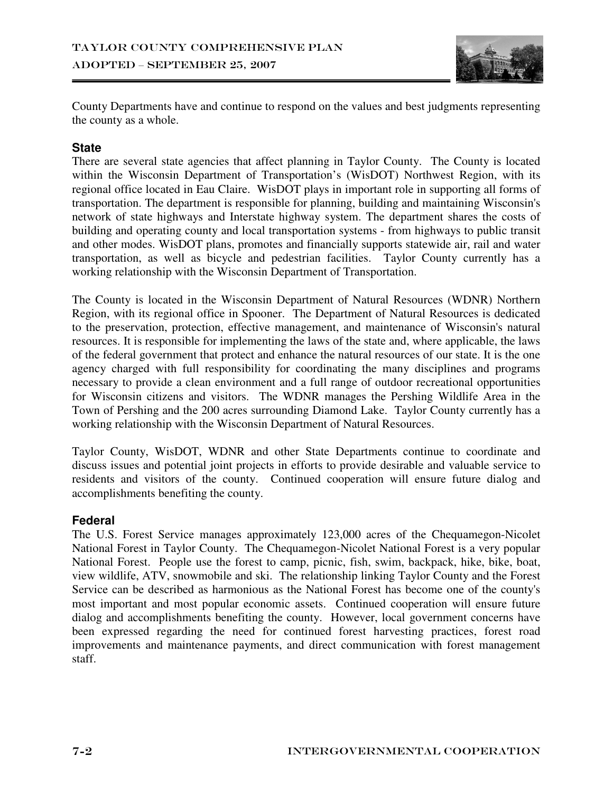

County Departments have and continue to respond on the values and best judgments representing the county as a whole.

### **State**

There are several state agencies that affect planning in Taylor County. The County is located within the Wisconsin Department of Transportation's (WisDOT) Northwest Region, with its regional office located in Eau Claire. WisDOT plays in important role in supporting all forms of transportation. The department is responsible for planning, building and maintaining Wisconsin's network of state highways and Interstate highway system. The department shares the costs of building and operating county and local transportation systems - from highways to public transit and other modes. WisDOT plans, promotes and financially supports statewide air, rail and water transportation, as well as bicycle and pedestrian facilities. Taylor County currently has a working relationship with the Wisconsin Department of Transportation.

The County is located in the Wisconsin Department of Natural Resources (WDNR) Northern Region, with its regional office in Spooner. The Department of Natural Resources is dedicated to the preservation, protection, effective management, and maintenance of Wisconsin's natural resources. It is responsible for implementing the laws of the state and, where applicable, the laws of the federal government that protect and enhance the natural resources of our state. It is the one agency charged with full responsibility for coordinating the many disciplines and programs necessary to provide a clean environment and a full range of outdoor recreational opportunities for Wisconsin citizens and visitors. The WDNR manages the Pershing Wildlife Area in the Town of Pershing and the 200 acres surrounding Diamond Lake. Taylor County currently has a working relationship with the Wisconsin Department of Natural Resources.

Taylor County, WisDOT, WDNR and other State Departments continue to coordinate and discuss issues and potential joint projects in efforts to provide desirable and valuable service to residents and visitors of the county. Continued cooperation will ensure future dialog and accomplishments benefiting the county.

### **Federal**

The U.S. Forest Service manages approximately 123,000 acres of the Chequamegon-Nicolet National Forest in Taylor County. The Chequamegon-Nicolet National Forest is a very popular National Forest. People use the forest to camp, picnic, fish, swim, backpack, hike, bike, boat, view wildlife, ATV, snowmobile and ski. The relationship linking Taylor County and the Forest Service can be described as harmonious as the National Forest has become one of the county's most important and most popular economic assets. Continued cooperation will ensure future dialog and accomplishments benefiting the county. However, local government concerns have been expressed regarding the need for continued forest harvesting practices, forest road improvements and maintenance payments, and direct communication with forest management staff.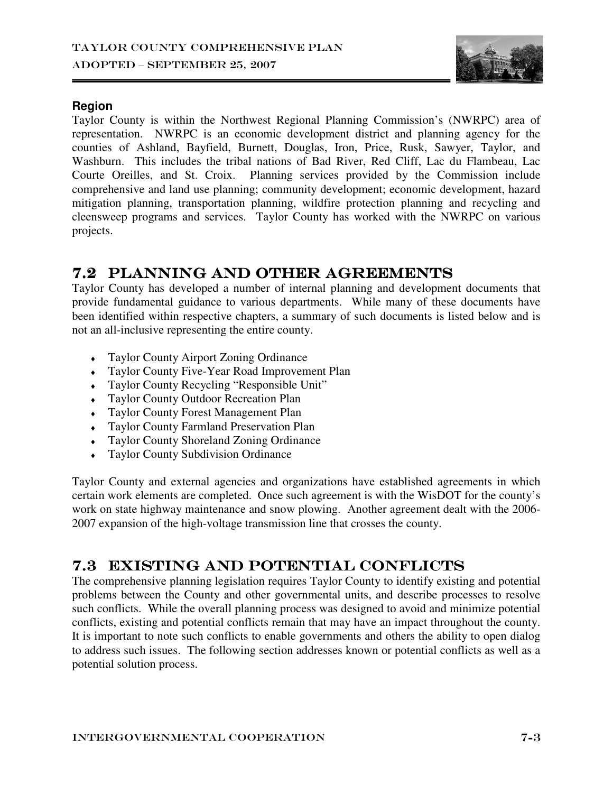

#### **Region**

Taylor County is within the Northwest Regional Planning Commission's (NWRPC) area of representation. NWRPC is an economic development district and planning agency for the counties of Ashland, Bayfield, Burnett, Douglas, Iron, Price, Rusk, Sawyer, Taylor, and Washburn. This includes the tribal nations of Bad River, Red Cliff, Lac du Flambeau, Lac Courte Oreilles, and St. Croix. Planning services provided by the Commission include comprehensive and land use planning; community development; economic development, hazard mitigation planning, transportation planning, wildfire protection planning and recycling and cleensweep programs and services. Taylor County has worked with the NWRPC on various projects.

### 7.2 PLANNING AND OTHER AGREEMENTS

Taylor County has developed a number of internal planning and development documents that provide fundamental guidance to various departments. While many of these documents have been identified within respective chapters, a summary of such documents is listed below and is not an all-inclusive representing the entire county.

- ♦ Taylor County Airport Zoning Ordinance
- ♦ Taylor County Five-Year Road Improvement Plan
- ♦ Taylor County Recycling "Responsible Unit"
- ♦ Taylor County Outdoor Recreation Plan
- ♦ Taylor County Forest Management Plan
- ♦ Taylor County Farmland Preservation Plan
- ♦ Taylor County Shoreland Zoning Ordinance
- Taylor County Subdivision Ordinance

Taylor County and external agencies and organizations have established agreements in which certain work elements are completed. Once such agreement is with the WisDOT for the county's work on state highway maintenance and snow plowing. Another agreement dealt with the 2006- 2007 expansion of the high-voltage transmission line that crosses the county.

### 7.3 EXISTING AND POTENTIAL CONFLICTS

The comprehensive planning legislation requires Taylor County to identify existing and potential problems between the County and other governmental units, and describe processes to resolve such conflicts. While the overall planning process was designed to avoid and minimize potential conflicts, existing and potential conflicts remain that may have an impact throughout the county. It is important to note such conflicts to enable governments and others the ability to open dialog to address such issues. The following section addresses known or potential conflicts as well as a potential solution process.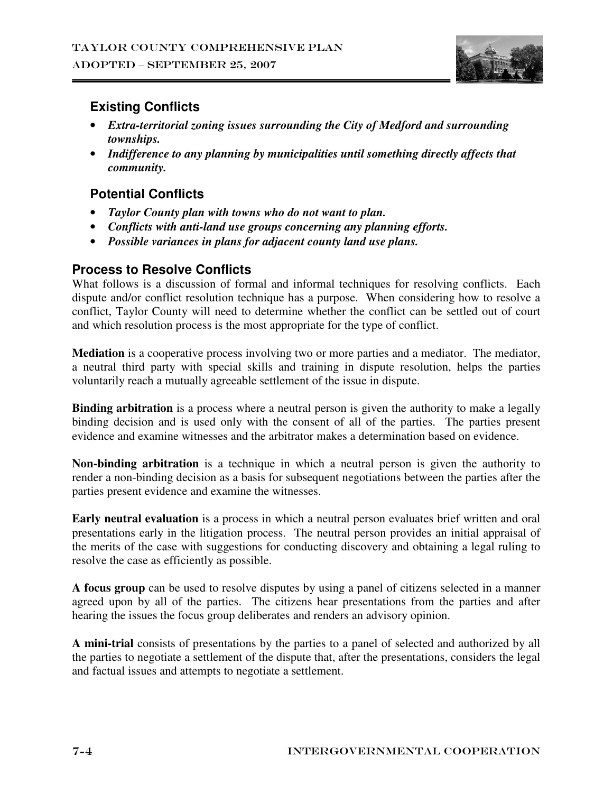

### **Existing Conflicts**

- *Extra-territorial zoning issues surrounding the City of Medford and surrounding townships.*
- *Indifference to any planning by municipalities until something directly affects that community.*

### **Potential Conflicts**

- *Taylor County plan with towns who do not want to plan.*
- *Conflicts with anti-land use groups concerning any planning efforts.*
- *Possible variances in plans for adjacent county land use plans.*

### **Process to Resolve Conflicts**

What follows is a discussion of formal and informal techniques for resolving conflicts. Each dispute and/or conflict resolution technique has a purpose. When considering how to resolve a conflict, Taylor County will need to determine whether the conflict can be settled out of court and which resolution process is the most appropriate for the type of conflict.

**Mediation** is a cooperative process involving two or more parties and a mediator. The mediator, a neutral third party with special skills and training in dispute resolution, helps the parties voluntarily reach a mutually agreeable settlement of the issue in dispute.

**Binding arbitration** is a process where a neutral person is given the authority to make a legally binding decision and is used only with the consent of all of the parties. The parties present evidence and examine witnesses and the arbitrator makes a determination based on evidence.

**Non-binding arbitration** is a technique in which a neutral person is given the authority to render a non-binding decision as a basis for subsequent negotiations between the parties after the parties present evidence and examine the witnesses.

**Early neutral evaluation** is a process in which a neutral person evaluates brief written and oral presentations early in the litigation process. The neutral person provides an initial appraisal of the merits of the case with suggestions for conducting discovery and obtaining a legal ruling to resolve the case as efficiently as possible.

**A focus group** can be used to resolve disputes by using a panel of citizens selected in a manner agreed upon by all of the parties. The citizens hear presentations from the parties and after hearing the issues the focus group deliberates and renders an advisory opinion.

**A mini-trial** consists of presentations by the parties to a panel of selected and authorized by all the parties to negotiate a settlement of the dispute that, after the presentations, considers the legal and factual issues and attempts to negotiate a settlement.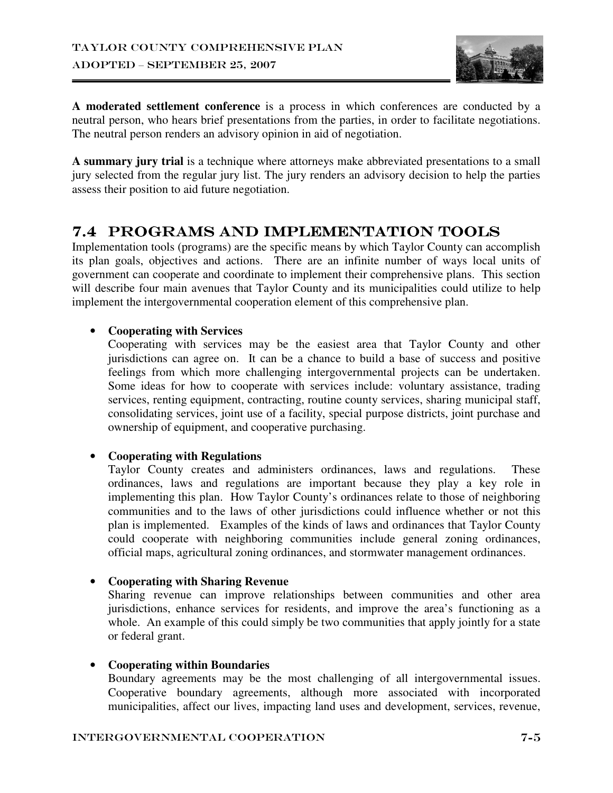

**A moderated settlement conference** is a process in which conferences are conducted by a neutral person, who hears brief presentations from the parties, in order to facilitate negotiations. The neutral person renders an advisory opinion in aid of negotiation.

**A summary jury trial** is a technique where attorneys make abbreviated presentations to a small jury selected from the regular jury list. The jury renders an advisory decision to help the parties assess their position to aid future negotiation.

### 7.4 PROGRAMS AND IMPLEMENTATION TOOLS

Implementation tools (programs) are the specific means by which Taylor County can accomplish its plan goals, objectives and actions. There are an infinite number of ways local units of government can cooperate and coordinate to implement their comprehensive plans. This section will describe four main avenues that Taylor County and its municipalities could utilize to help implement the intergovernmental cooperation element of this comprehensive plan.

#### • **Cooperating with Services**

Cooperating with services may be the easiest area that Taylor County and other jurisdictions can agree on. It can be a chance to build a base of success and positive feelings from which more challenging intergovernmental projects can be undertaken. Some ideas for how to cooperate with services include: voluntary assistance, trading services, renting equipment, contracting, routine county services, sharing municipal staff, consolidating services, joint use of a facility, special purpose districts, joint purchase and ownership of equipment, and cooperative purchasing.

### • **Cooperating with Regulations**

Taylor County creates and administers ordinances, laws and regulations. These ordinances, laws and regulations are important because they play a key role in implementing this plan. How Taylor County's ordinances relate to those of neighboring communities and to the laws of other jurisdictions could influence whether or not this plan is implemented. Examples of the kinds of laws and ordinances that Taylor County could cooperate with neighboring communities include general zoning ordinances, official maps, agricultural zoning ordinances, and stormwater management ordinances.

#### • **Cooperating with Sharing Revenue**

Sharing revenue can improve relationships between communities and other area jurisdictions, enhance services for residents, and improve the area's functioning as a whole. An example of this could simply be two communities that apply jointly for a state or federal grant.

#### • **Cooperating within Boundaries**

Boundary agreements may be the most challenging of all intergovernmental issues. Cooperative boundary agreements, although more associated with incorporated municipalities, affect our lives, impacting land uses and development, services, revenue,